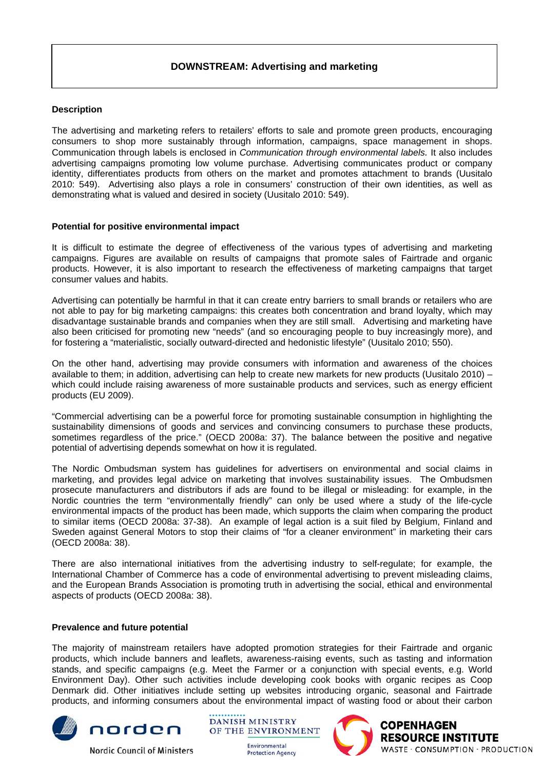# **DOWNSTREAM: Advertising and marketing**

## **Description**

The advertising and marketing refers to retailers' efforts to sale and promote green products, encouraging consumers to shop more sustainably through information, campaigns, space management in shops. Communication through labels is enclosed in *Communication through environmental labels.* It also includes advertising campaigns promoting low volume purchase. Advertising communicates product or company identity, differentiates products from others on the market and promotes attachment to brands (Uusitalo 2010: 549). Advertising also plays a role in consumers' construction of their own identities, as well as demonstrating what is valued and desired in society (Uusitalo 2010: 549).

### **Potential for positive environmental impact**

It is difficult to estimate the degree of effectiveness of the various types of advertising and marketing campaigns. Figures are available on results of campaigns that promote sales of Fairtrade and organic products. However, it is also important to research the effectiveness of marketing campaigns that target consumer values and habits.

Advertising can potentially be harmful in that it can create entry barriers to small brands or retailers who are not able to pay for big marketing campaigns: this creates both concentration and brand loyalty, which may disadvantage sustainable brands and companies when they are still small. Advertising and marketing have also been criticised for promoting new "needs" (and so encouraging people to buy increasingly more), and for fostering a "materialistic, socially outward-directed and hedonistic lifestyle" (Uusitalo 2010; 550).

On the other hand, advertising may provide consumers with information and awareness of the choices available to them; in addition, advertising can help to create new markets for new products (Uusitalo 2010) – which could include raising awareness of more sustainable products and services, such as energy efficient products (EU 2009).

"Commercial advertising can be a powerful force for promoting sustainable consumption in highlighting the sustainability dimensions of goods and services and convincing consumers to purchase these products, sometimes regardless of the price." (OECD 2008a: 37). The balance between the positive and negative potential of advertising depends somewhat on how it is regulated.

The Nordic Ombudsman system has guidelines for advertisers on environmental and social claims in marketing, and provides legal advice on marketing that involves sustainability issues. The Ombudsmen prosecute manufacturers and distributors if ads are found to be illegal or misleading: for example, in the Nordic countries the term "environmentally friendly" can only be used where a study of the life-cycle environmental impacts of the product has been made, which supports the claim when comparing the product to similar items (OECD 2008a: 37-38). An example of legal action is a suit filed by Belgium, Finland and Sweden against General Motors to stop their claims of "for a cleaner environment" in marketing their cars (OECD 2008a: 38).

There are also international initiatives from the advertising industry to self-regulate; for example, the International Chamber of Commerce has a code of environmental advertising to prevent misleading claims, and the European Brands Association is promoting truth in advertising the social, ethical and environmental aspects of products (OECD 2008a: 38).

#### **Prevalence and future potential**

The majority of mainstream retailers have adopted promotion strategies for their Fairtrade and organic products, which include banners and leaflets, awareness-raising events, such as tasting and information stands, and specific campaigns (e.g. Meet the Farmer or a conjunction with special events, e.g. World Environment Day). Other such activities include developing cook books with organic recipes as Coop Denmark did. Other initiatives include setting up websites introducing organic, seasonal and Fairtrade products, and informing consumers about the environmental impact of wasting food or about their carbon



**Nordic Council of Ministers** 

**DANISH MINISTRY** OF THE ENVIRONMENT

> Environmental **Protection Agency**